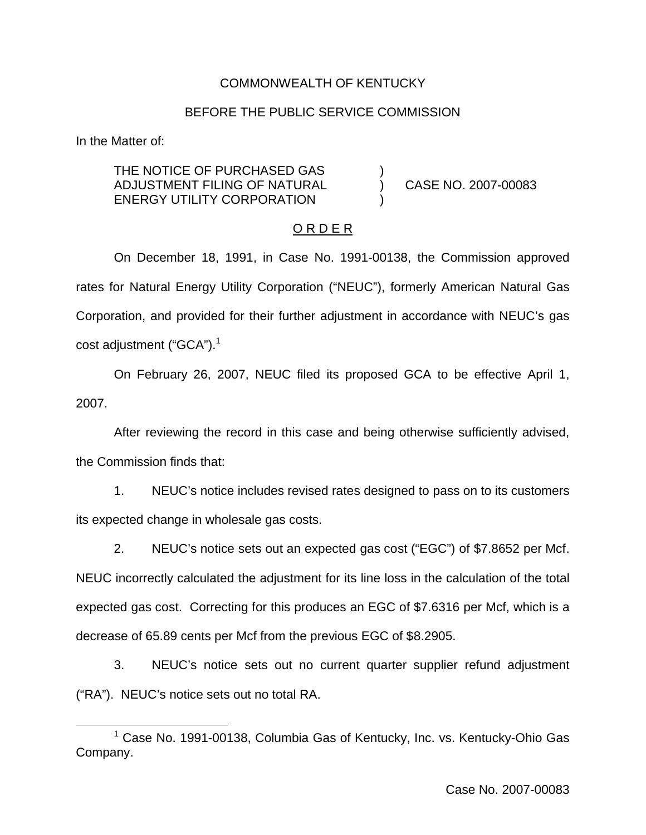## COMMONWEALTH OF KENTUCKY

#### BEFORE THE PUBLIC SERVICE COMMISSION

In the Matter of:

THE NOTICE OF PURCHASED GAS ADJUSTMENT FILING OF NATURAL ) CASE NO. 2007-00083 ENERGY UTILITY CORPORATION

#### O R D E R

On December 18, 1991, in Case No. 1991-00138, the Commission approved rates for Natural Energy Utility Corporation ("NEUC"), formerly American Natural Gas Corporation, and provided for their further adjustment in accordance with NEUC's gas cost adjustment ("GCA").<sup>1</sup>

On February 26, 2007, NEUC filed its proposed GCA to be effective April 1, 2007.

After reviewing the record in this case and being otherwise sufficiently advised, the Commission finds that:

1. NEUC's notice includes revised rates designed to pass on to its customers its expected change in wholesale gas costs.

2. NEUC's notice sets out an expected gas cost ("EGC") of \$7.8652 per Mcf. NEUC incorrectly calculated the adjustment for its line loss in the calculation of the total expected gas cost. Correcting for this produces an EGC of \$7.6316 per Mcf, which is a decrease of 65.89 cents per Mcf from the previous EGC of \$8.2905.

3. NEUC's notice sets out no current quarter supplier refund adjustment ("RA"). NEUC's notice sets out no total RA.

<sup>&</sup>lt;sup>1</sup> Case No. 1991-00138, Columbia Gas of Kentucky, Inc. vs. Kentucky-Ohio Gas Company.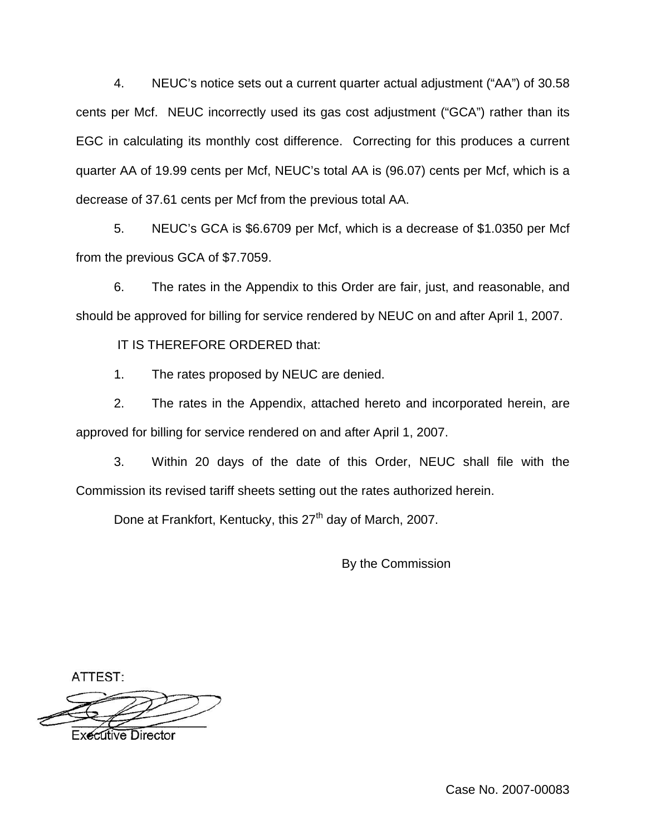4. NEUC's notice sets out a current quarter actual adjustment ("AA") of 30.58 cents per Mcf. NEUC incorrectly used its gas cost adjustment ("GCA") rather than its EGC in calculating its monthly cost difference. Correcting for this produces a current quarter AA of 19.99 cents per Mcf, NEUC's total AA is (96.07) cents per Mcf, which is a decrease of 37.61 cents per Mcf from the previous total AA.

5. NEUC's GCA is \$6.6709 per Mcf, which is a decrease of \$1.0350 per Mcf from the previous GCA of \$7.7059.

6. The rates in the Appendix to this Order are fair, just, and reasonable, and should be approved for billing for service rendered by NEUC on and after April 1, 2007.

IT IS THEREFORE ORDERED that:

1. The rates proposed by NEUC are denied.

2. The rates in the Appendix, attached hereto and incorporated herein, are approved for billing for service rendered on and after April 1, 2007.

3. Within 20 days of the date of this Order, NEUC shall file with the Commission its revised tariff sheets setting out the rates authorized herein.

Done at Frankfort, Kentucky, this 27<sup>th</sup> day of March, 2007.

By the Commission

ATTEST:

**Executive Director**